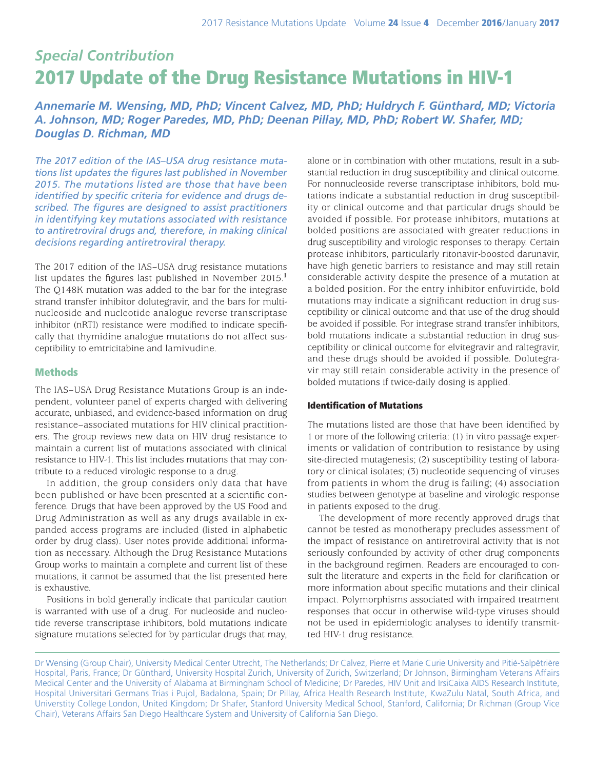# *Special Contribution* 2017 Update of the Drug Resistance Mutations in HIV-1

*Annemarie M. Wensing, MD, PhD; Vincent Calvez, MD, PhD; Huldrych F. Günthard, MD; Victoria A. Johnson, MD; Roger Paredes, MD, PhD; Deenan Pillay, MD, PhD; Robert W. Shafer, MD; Douglas D. Richman, MD*

*The 2017 edition of the IAS–USA drug resistance mutations list updates the figures last published in November 2015. The mutations listed are those that have been identified by specific criteria for evidence and drugs described. The figures are designed to assist practitioners in identifying key mutations associated with resistance to antiretroviral drugs and, therefore, in making clinical decisions regarding antiretroviral therapy.*

The 2017 edition of the IAS–USA drug resistance mutations list updates the figures last published in November 2015.**<sup>1</sup>** The Q148K mutation was added to the bar for the integrase strand transfer inhibitor dolutegravir, and the bars for multinucleoside and nucleotide analogue reverse transcriptase inhibitor (nRTI) resistance were modified to indicate specifically that thymidine analogue mutations do not affect susceptibility to emtricitabine and lamivudine.

## Methods

The IAS–USA Drug Resistance Mutations Group is an independent, volunteer panel of experts charged with delivering accurate, unbiased, and evidence-based information on drug resistance–associated mutations for HIV clinical practitioners. The group reviews new data on HIV drug resistance to maintain a current list of mutations associated with clinical resistance to HIV-1. This list includes mutations that may contribute to a reduced virologic response to a drug.

In addition, the group considers only data that have been published or have been presented at a scientific conference. Drugs that have been approved by the US Food and Drug Administration as well as any drugs available in expanded access programs are included (listed in alphabetic order by drug class). User notes provide additional information as necessary. Although the Drug Resistance Mutations Group works to maintain a complete and current list of these mutations, it cannot be assumed that the list presented here is exhaustive.

Positions in bold generally indicate that particular caution is warranted with use of a drug. For nucleoside and nucleotide reverse transcriptase inhibitors, bold mutations indicate signature mutations selected for by particular drugs that may, alone or in combination with other mutations, result in a substantial reduction in drug susceptibility and clinical outcome. For nonnucleoside reverse transcriptase inhibitors, bold mutations indicate a substantial reduction in drug susceptibility or clinical outcome and that particular drugs should be avoided if possible. For protease inhibitors, mutations at bolded positions are associated with greater reductions in drug susceptibility and virologic responses to therapy. Certain protease inhibitors, particularly ritonavir-boosted darunavir, have high genetic barriers to resistance and may still retain considerable activity despite the presence of a mutation at a bolded position. For the entry inhibitor enfuvirtide, bold mutations may indicate a significant reduction in drug susceptibility or clinical outcome and that use of the drug should be avoided if possible. For integrase strand transfer inhibitors, bold mutations indicate a substantial reduction in drug susceptibility or clinical outcome for elvitegravir and raltegravir, and these drugs should be avoided if possible. Dolutegravir may still retain considerable activity in the presence of bolded mutations if twice-daily dosing is applied.

## Identification of Mutations

The mutations listed are those that have been identified by 1 or more of the following criteria: (1) in vitro passage experiments or validation of contribution to resistance by using site-directed mutagenesis; (2) susceptibility testing of laboratory or clinical isolates; (3) nucleotide sequencing of viruses from patients in whom the drug is failing; (4) association studies between genotype at baseline and virologic response in patients exposed to the drug.

The development of more recently approved drugs that cannot be tested as monotherapy precludes assessment of the impact of resistance on antiretroviral activity that is not seriously confounded by activity of other drug components in the background regimen. Readers are encouraged to consult the literature and experts in the field for clarification or more information about specific mutations and their clinical impact. Polymorphisms associated with impaired treatment responses that occur in otherwise wild-type viruses should not be used in epidemiologic analyses to identify transmitted HIV-1 drug resistance.

Dr Wensing (Group Chair), University Medical Center Utrecht, The Netherlands; Dr Calvez, Pierre et Marie Curie University and Pitié-Salpêtrière Hospital, Paris, France; Dr Günthard, University Hospital Zurich, University of Zurich, Switzerland; Dr Johnson, Birmingham Veterans Affairs Medical Center and the University of Alabama at Birmingham School of Medicine; Dr Paredes, HIV Unit and IrsiCaixa AIDS Research Institute, Hospital Universitari Germans Trias i Pujol, Badalona, Spain; Dr Pillay, Africa Health Research Institute, KwaZulu Natal, South Africa, and Universtity College London, United Kingdom; Dr Shafer, Stanford University Medical School, Stanford, California; Dr Richman (Group Vice Chair), Veterans Affairs San Diego Healthcare System and University of California San Diego.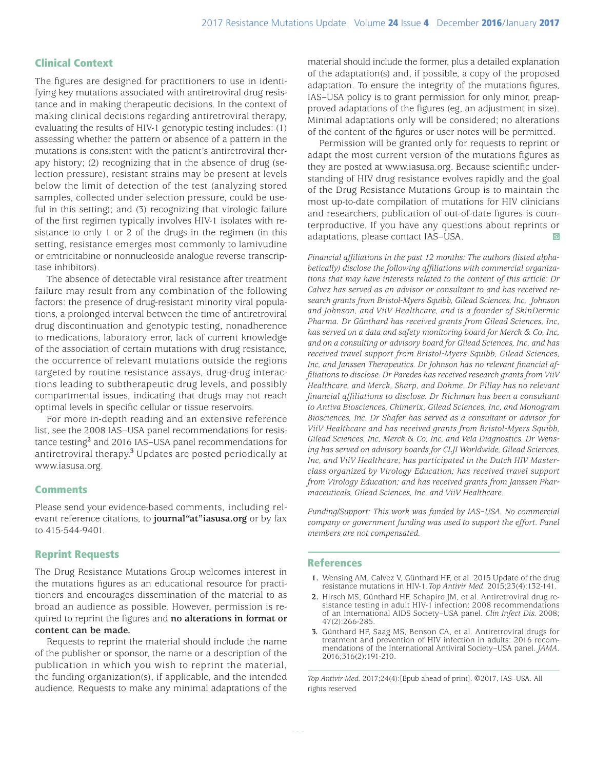## Clinical Context

The figures are designed for practitioners to use in identifying key mutations associated with antiretroviral drug resistance and in making therapeutic decisions. In the context of making clinical decisions regarding antiretroviral therapy, evaluating the results of HIV-1 genotypic testing includes: (1) assessing whether the pattern or absence of a pattern in the mutations is consistent with the patient's antiretroviral therapy history; (2) recognizing that in the absence of drug (selection pressure), resistant strains may be present at levels below the limit of detection of the test (analyzing stored samples, collected under selection pressure, could be useful in this setting); and (3) recognizing that virologic failure of the first regimen typically involves HIV-1 isolates with resistance to only 1 or 2 of the drugs in the regimen (in this setting, resistance emerges most commonly to lamivudine or emtricitabine or nonnucleoside analogue reverse transcriptase inhibitors).

The absence of detectable viral resistance after treatment failure may result from any combination of the following factors: the presence of drug-resistant minority viral populations, a prolonged interval between the time of antiretroviral drug discontinuation and genotypic testing, nonadherence to medications, laboratory error, lack of current knowledge of the association of certain mutations with drug resistance, the occurrence of relevant mutations outside the regions targeted by routine resistance assays, drug-drug interactions leading to subtherapeutic drug levels, and possibly compartmental issues, indicating that drugs may not reach optimal levels in specific cellular or tissue reservoirs.

For more in-depth reading and an extensive reference list, see the 2008 IAS–USA panel recommendations for resistance testing**<sup>2</sup>** and 2016 IAS–USA panel recommendations for antiretroviral therapy.<sup>3</sup> Updates are posted periodically at www.iasusa.org.

#### **Comments**

Please send your evidence-based comments, including relevant reference citations, to **journal"at"iasusa.org** or by fax to 415-544-9401.

## Reprint Requests

The Drug Resistance Mutations Group welcomes interest in the mutations figures as an educational resource for practitioners and encourages dissemination of the material to as broad an audience as possible. However, permission is required to reprint the figures and **no alterations in format or content can be made.**

Requests to reprint the material should include the name of the publisher or sponsor, the name or a description of the publication in which you wish to reprint the material, the funding organization(s), if applicable, and the intended audience. Requests to make any minimal adaptations of the

material should include the former, plus a detailed explanation of the adaptation(s) and, if possible, a copy of the proposed adaptation. To ensure the integrity of the mutations figures, IAS–USA policy is to grant permission for only minor, preapproved adaptations of the figures (eg, an adjustment in size). Minimal adaptations only will be considered; no alterations of the content of the figures or user notes will be permitted.

Permission will be granted only for requests to reprint or adapt the most current version of the mutations figures as they are posted at www.iasusa.org. Because scientific understanding of HIV drug resistance evolves rapidly and the goal of the Drug Resistance Mutations Group is to maintain the most up-to-date compilation of mutations for HIV clinicians and researchers, publication of out-of-date figures is counterproductive. If you have any questions about reprints or adaptations, please contact IAS–USA.  $\odot$ 

*Financial affiliations in the past 12 months: The authors (listed alphabetically) disclose the following affiliations with commercial organizations that may have interests related to the content of this article: Dr Calvez has served as an advisor or consultant to and has received research grants from Bristol-Myers Squibb, Gilead Sciences, Inc, Johnson and Johnson, and ViiV Healthcare, and is a founder of SkinDermic Pharma. Dr Günthard has received grants from Gilead Sciences, Inc, has served on a data and safety monitoring board for Merck & Co, Inc, and on a consulting or advisory board for Gilead Sciences, Inc, and has received travel support from Bristol-Myers Squibb, Gilead Sciences, Inc, and Janssen Therapeutics. Dr Johnson has no relevant financial affiliations to disclose. Dr Paredes has received research grants from ViiV Healthcare, and Merck, Sharp, and Dohme. Dr Pillay has no relevant financial affiliations to disclose. Dr Richman has been a consultant to Antiva Biosciences, Chimerix, Gilead Sciences, Inc, and Monogram Biosciences, Inc. Dr Shafer has served as a consultant or advisor for ViiV Healthcare and has received grants from Bristol-Myers Squibb, Gilead Sciences, Inc, Merck & Co, Inc, and Vela Diagnostics. Dr Wensing has served on advisory boards for CLJI Worldwide, Gilead Sciences, Inc, and ViiV Healthcare; has participated in the Dutch HIV Masterclass organized by Virology Education; has received travel support from Virology Education; and has received grants from Janssen Pharmaceuticals, Gilead Sciences, Inc, and ViiV Healthcare.*

*Funding/Support: This work was funded by IAS–USA. No commercial company or government funding was used to support the effort. Panel members are not compensated.*

#### References

- **1.** Wensing AM, Calvez V, Günthard HF, et al. 2015 Update of the drug resistance mutations in HIV-1. *Top Antivir Med*. 2015;23(4):132-141.
- **2.** Hirsch MS, Günthard HF, Schapiro JM, et al. Antiretroviral drug resistance testing in adult HIV-1 infection: 2008 recommendations of an International AIDS Society–USA panel. *Clin Infect Dis.* 2008; 47(2):266-285.
- **3.** Günthard HF, Saag MS, Benson CA, et al. Antiretroviral drugs for mendations of the International Antiviral Society–USA panel. *JAMA*. 2016;316(2):191-210.

*Top Antivir Med.* 2017;24(4):[Epub ahead of print]. ©2017, IAS–USA. All rights reserved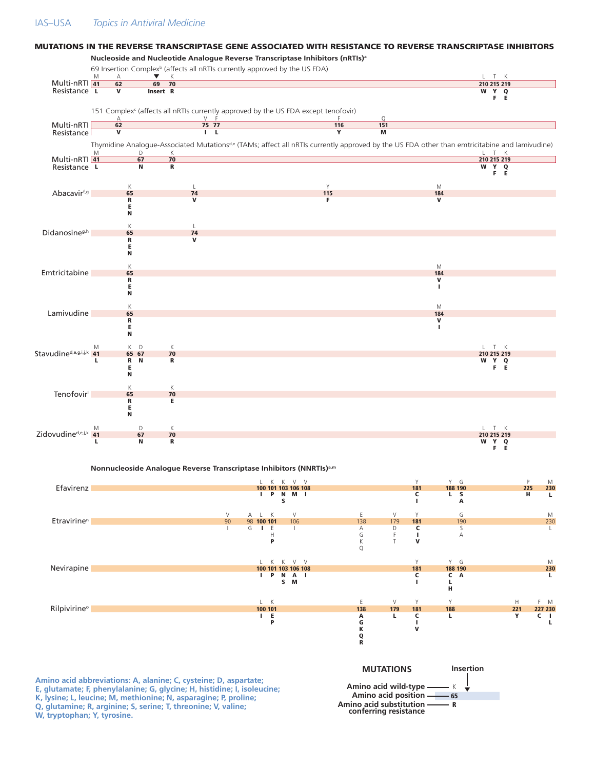#### IAS–USA *Topics in Antiviral Medicine*

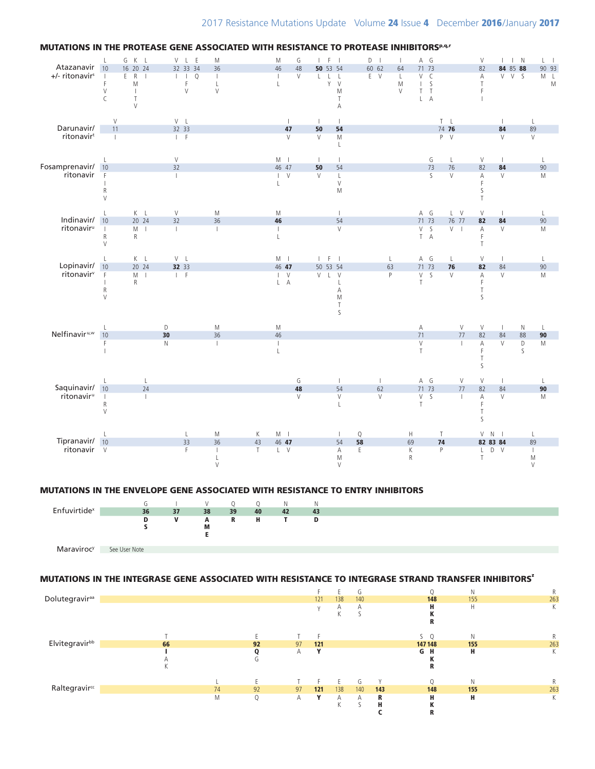

## MUTATIONS IN THE ENVELOPE GENE ASSOCIATED WITH RESISTANCE TO ENTRY INHIBITORS



## MUTATIONS IN THE INTEGRASE GENE ASSOCIATED WITH RESISTANCE TO INTEGRASE STRAND TRANSFER INHIBITORS'

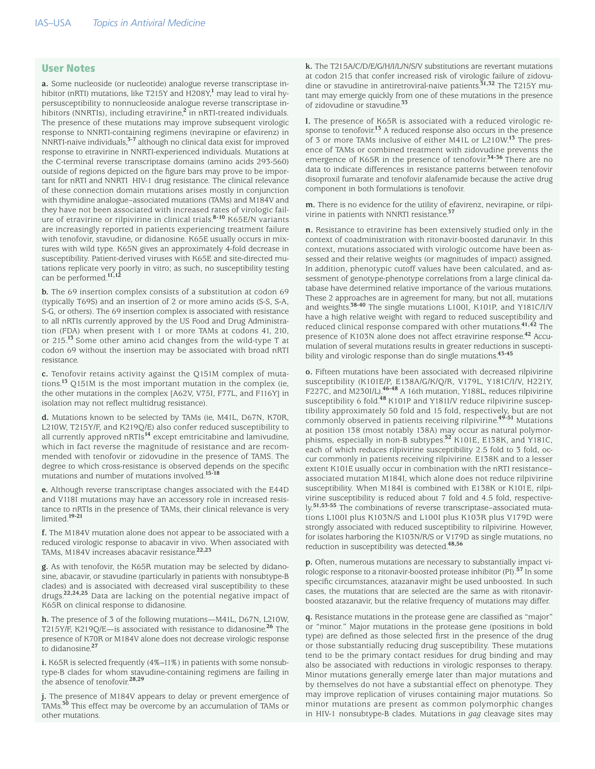#### User Notes

**a.** Some nucleoside (or nucleotide) analogue reverse transcriptase inhibitor (nRTI) mutations, like T215Y and H208Y, **1** may lead to viral hypersusceptibility to nonnucleoside analogue reverse transcriptase inhibitors (NNRTIs), including etravirine, **<sup>2</sup>** in nRTI-treated individuals. The presence of these mutations may improve subsequent virologic response to NNRTI-containing regimens (nevirapine or efavirenz) in NNRTI-naive individuals, **3-7** although no clinical data exist for improved response to etravirine in NNRTI-experienced individuals. Mutations at the C-terminal reverse transcriptase domains (amino acids 293-560) outside of regions depicted on the figure bars may prove to be important for nRTI and NNRTI HIV-1 drug resistance. The clinical relevance of these connection domain mutations arises mostly in conjunction with thymidine analogue–associated mutations (TAMs) and M184V and they have not been associated with increased rates of virologic failure of etravirine or rilpivirine in clinical trials. **8-10** K65E/N variants are increasingly reported in patients experiencing treatment failure with tenofovir, stavudine, or didanosine. K65E usually occurs in mixtures with wild type. K65N gives an approximately 4-fold decrease in susceptibility. Patient-derived viruses with K65E and site-directed mutations replicate very poorly in vitro; as such, no susceptibility testing can be performed. **11,12** 

**b.** The 69 insertion complex consists of a substitution at codon 69 (typically T69S) and an insertion of 2 or more amino acids (S-S, S-A, S-G, or others). The 69 insertion complex is associated with resistance to all nRTIs currently approved by the US Food and Drug Administration (FDA) when present with 1 or more TAMs at codons 41, 210, or 215. **<sup>13</sup>**Some other amino acid changes from the wild-type T at codon 69 without the insertion may be associated with broad nRTI resistance.

**c.** Tenofovir retains activity against the Q151M complex of mutations.**13** Q151M is the most important mutation in the complex (ie, the other mutations in the complex [A62V, V75I, F77L, and F116Y] in isolation may not reflect multidrug resistance).

**d.** Mutations known to be selected by TAMs (ie, M41L, D67N, K70R, L210W, T215Y/F, and K219Q/E) also confer reduced susceptibility to all currently approved nRTIs**<sup>14</sup>** except emtricitabine and lamivudine, which in fact reverse the magnitude of resistance and are recommended with tenofovir or zidovudine in the presence of TAMS. The degree to which cross-resistance is observed depends on the specific mutations and number of mutations involved. **15-18**

**e.** Although reverse transcriptase changes associated with the E44D and V118I mutations may have an accessory role in increased resistance to nRTIs in the presence of TAMs, their clinical relevance is very limited. **19-21**

**f.** The M184V mutation alone does not appear to be associated with a reduced virologic response to abacavir in vivo. When associated with TAMs, M184V increases abacavir resistance. **22,23**

**g.** As with tenofovir, the K65R mutation may be selected by didanosine, abacavir, or stavudine (particularly in patients with nonsubtype-B clades) and is associated with decreased viral susceptibility to these drugs. **22,24,25** Data are lacking on the potential negative impact of K65R on clinical response to didanosine.

**h.** The presence of 3 of the following mutations—M41L, D67N, L210W, T215Y/F, K219Q/E—is associated with resistance to didanosine. **<sup>26</sup>** The presence of K70R or M184V alone does not decrease virologic response to didanosine. **27**

**i.** K65R is selected frequently (4%−11%) in patients with some nonsubtype-B clades for whom stavudine-containing regimens are failing in the absence of tenofovir.**28,29**

**j.** The presence of M184V appears to delay or prevent emergence of TAMs.**30** This effect may be overcome by an accumulation of TAMs or other mutations.

**k.** The T215A/C/D/E/G/H/I/L/N/S/V substitutions are revertant mutations at codon 215 that confer increased risk of virologic failure of zidovudine or stavudine in antiretroviral-naive patients.**31,32** The T215Y mutant may emerge quickly from one of these mutations in the presence of zidovudine or stavudine.**<sup>33</sup>**

**l.** The presence of K65R is associated with a reduced virologic response to tenofovir.**13** A reduced response also occurs in the presence of 3 or more TAMs inclusive of either M41L or L210W.**13** The presence of TAMs or combined treatment with zidovudine prevents the emergence of K65R in the presence of tenofovir.**34-36** There are no data to indicate differences in resistance patterns between tenofovir disoproxil fumarate and tenofovir alafenamide because the active drug component in both formulations is tenofovir.

**m.** There is no evidence for the utility of efavirenz, nevirapine, or rilpivirine in patients with NNRTI resistance. **37**

**n.** Resistance to etravirine has been extensively studied only in the context of coadministration with ritonavir-boosted darunavir. In this context, mutations associated with virologic outcome have been assessed and their relative weights (or magnitudes of impact) assigned. In addition, phenotypic cutoff values have been calculated, and assessment of genotype-phenotype correlations from a large clinical database have determined relative importance of the various mutations. These 2 approaches are in agreement for many, but not all, mutations and weights. **38-40** The single mutations L100I, K101P, and Y181C/I/V have a high relative weight with regard to reduced susceptibility and reduced clinical response compared with other mutations. **41,42** The presence of K103N alone does not affect etravirine response. **<sup>42</sup>** Accumulation of several mutations results in greater reductions in susceptibility and virologic response than do single mutations. **43-45**

**o.** Fifteen mutations have been associated with decreased rilpivirine susceptibility (K101E/P, E138A/G/K/Q/R, V179L, Y181C/I/V, H221Y, F227C, and M230I/L). **46-48** A 16th mutation, Y188L, reduces rilpivirine susceptibility 6 fold. **<sup>48</sup>** K101P and Y181I/V reduce rilpivirine susceptibility approximately 50 fold and 15 fold, respectively, but are not commonly observed in patients receiving rilpivirine. **49-51** Mutations at position 138 (most notably 138A) may occur as natural polymorphisms, especially in non-B subtypes. **<sup>52</sup>** K101E, E138K, and Y181C, each of which reduces rilpivirine susceptibility 2.5 fold to 3 fold, occur commonly in patients receiving rilpivirine. E138K and to a lesser extent K101E usually occur in combination with the nRTI resistance– associated mutation M184I, which alone does not reduce rilpivirine susceptibility. When M184I is combined with E138K or K101E, rilpivirine susceptibility is reduced about 7 fold and 4.5 fold, respectively. **51,53-55** The combinations of reverse transcriptase–associated mutations L100I plus K103N/S and L100I plus K103R plus V179D were strongly associated with reduced susceptibility to rilpivirine. However, for isolates harboring the K103N/R/S or V179D as single mutations, no reduction in susceptibility was detected. **48,56**

**p.** Often, numerous mutations are necessary to substantially impact virologic response to a ritonavir-boosted protease inhibitor (PI). **<sup>57</sup>** In some specific circumstances, atazanavir might be used unboosted. In such cases, the mutations that are selected are the same as with ritonavirboosted atazanavir, but the relative frequency of mutations may differ.

**q.** Resistance mutations in the protease gene are classified as "major" or "minor." Major mutations in the protease gene (positions in bold type) are defined as those selected first in the presence of the drug or those substantially reducing drug susceptibility. These mutations tend to be the primary contact residues for drug binding and may also be associated with reductions in virologic responses to therapy. Minor mutations generally emerge later than major mutations and by themselves do not have a substantial effect on phenotype. They may improve replication of viruses containing major mutations. So minor mutations are present as common polymorphic changes in HIV-1 nonsubtype-B clades. Mutations in *gag* cleavage sites may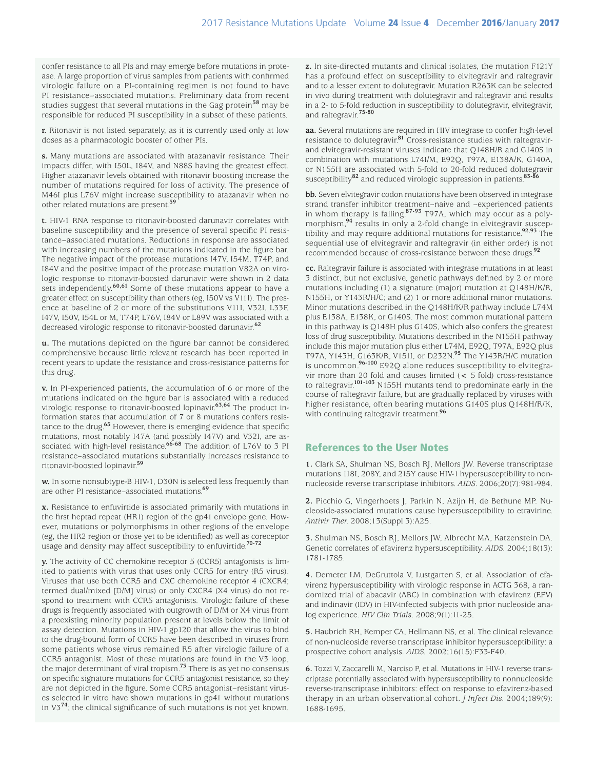confer resistance to all PIs and may emerge before mutations in protease. A large proportion of virus samples from patients with confirmed virologic failure on a PI-containing regimen is not found to have PI resistance–associated mutations. Preliminary data from recent studies suggest that several mutations in the Gag protein**58** may be responsible for reduced PI susceptibility in a subset of these patients.

**r.** Ritonavir is not listed separately, as it is currently used only at low doses as a pharmacologic booster of other PIs.

**s.** Many mutations are associated with atazanavir resistance. Their impacts differ, with I50L, I84V, and N88S having the greatest effect. Higher atazanavir levels obtained with ritonavir boosting increase the number of mutations required for loss of activity. The presence of M46I plus L76V might increase susceptibility to atazanavir when no other related mutations are present. **59**

**t.** HIV-1 RNA response to ritonavir-boosted darunavir correlates with baseline susceptibility and the presence of several specific PI resistance–associated mutations. Reductions in response are associated with increasing numbers of the mutations indicated in the figure bar. The negative impact of the protease mutations I47V, I54M, T74P, and I84V and the positive impact of the protease mutation V82A on virologic response to ritonavir-boosted darunavir were shown in 2 data sets independently.<sup>60,61</sup> Some of these mutations appear to have a greater effect on susceptibility than others (eg, I50V vs V11I). The presence at baseline of 2 or more of the substitutions V11I, V32I, L33F, I47V, I50V, I54L or M, T74P, L76V, I84V or L89V was associated with a decreased virologic response to ritonavir-boosted darunavir.**<sup>62</sup>**

**u.** The mutations depicted on the figure bar cannot be considered comprehensive because little relevant research has been reported in recent years to update the resistance and cross-resistance patterns for this drug.

**v.** In PI-experienced patients, the accumulation of 6 or more of the mutations indicated on the figure bar is associated with a reduced virologic response to ritonavir-boosted lopinavir. **63,64** The product information states that accumulation of 7 or 8 mutations confers resistance to the drug. **<sup>65</sup>** However, there is emerging evidence that specific mutations, most notably I47A (and possibly I47V) and V32I, are associated with high-level resistance. **66-68** The addition of L76V to 3 PI resistance–associated mutations substantially increases resistance to ritonavir-boosted lopinavir. **59**

**w.** In some nonsubtype-B HIV-1, D30N is selected less frequently than are other PI resistance–associated mutations. **69**

**x.** Resistance to enfuvirtide is associated primarily with mutations in the first heptad repeat (HR1) region of the gp41 envelope gene. However, mutations or polymorphisms in other regions of the envelope (eg, the HR2 region or those yet to be identified) as well as coreceptor usage and density may affect susceptibility to enfuvirtide. **70-72**

**y.** The activity of CC chemokine receptor 5 (CCR5) antagonists is limited to patients with virus that uses only CCR5 for entry (R5 virus). Viruses that use both CCR5 and CXC chemokine receptor 4 (CXCR4; termed dual/mixed [D/M] virus) or only CXCR4 (X4 virus) do not respond to treatment with CCR5 antagonists. Virologic failure of these drugs is frequently associated with outgrowth of D/M or X4 virus from a preexisting minority population present at levels below the limit of assay detection. Mutations in HIV-1 gp120 that allow the virus to bind to the drug-bound form of CCR5 have been described in viruses from some patients whose virus remained R5 after virologic failure of a CCR5 antagonist. Most of these mutations are found in the V3 loop, the major determinant of viral tropism. **<sup>73</sup>** There is as yet no consensus on specific signature mutations for CCR5 antagonist resistance, so they are not depicted in the figure. Some CCR5 antagonist–resistant viruses selected in vitro have shown mutations in gp41 without mutations in V3**74**; the clinical significance of such mutations is not yet known.

**z.** In site-directed mutants and clinical isolates, the mutation F121Y has a profound effect on susceptibility to elvitegravir and raltegravir and to a lesser extent to dolutegravir. Mutation R263K can be selected in vivo during treatment with dolutegravir and raltegravir and results in a 2- to 5-fold reduction in susceptibility to dolutegravir, elvitegravir, and raltegravir. **75-80**

**aa.** Several mutations are required in HIV integrase to confer high-level resistance to dolutegravir.**81** Cross-resistance studies with raltegravirand elvitegravir-resistant viruses indicate that Q148H/R and G140S in combination with mutations L74I/M, E92Q, T97A, E138A/K, G140A, or N155H are associated with 5-fold to 20-fold reduced dolutegravir susceptibility**82** and reduced virologic suppression in patients. **83-86**

**bb.** Seven elvitegravir codon mutations have been observed in integrase strand transfer inhibitor treatment–naive and –experienced patients in whom therapy is failing.**87-93** T97A, which may occur as a polymorphism,**94** results in only a 2-fold change in elvitegravir susceptibility and may require additional mutations for resistance.**92**,**93** The sequential use of elvitegravir and raltegravir (in either order) is not recommended because of cross-resistance between these drugs. **92**

**cc.** Raltegravir failure is associated with integrase mutations in at least 3 distinct, but not exclusive, genetic pathways defined by 2 or more mutations including (1) a signature (major) mutation at Q148H/K/R, N155H, or Y143R/H/C; and (2) 1 or more additional minor mutations. Minor mutations described in the Q148H/K/R pathway include L74M plus E138A, E138K, or G140S. The most common mutational pattern in this pathway is Q148H plus G140S, which also confers the greatest loss of drug susceptibility. Mutations described in the N155H pathway include this major mutation plus either L74M, E92Q, T97A, E92Q plus T97A, Y143H, G163K/R, V151I, or D232N. **<sup>95</sup>** The Y143R/H/C mutation is uncommon. **96-100** E92Q alone reduces susceptibility to elvitegravir more than 20 fold and causes limited (< 5 fold) cross-resistance to raltegravir. **101-103** N155H mutants tend to predominate early in the course of raltegravir failure, but are gradually replaced by viruses with higher resistance, often bearing mutations G140S plus Q148H/R/K, with continuing raltegravir treatment. **96**

## References to the User Notes

**1.** Clark SA, Shulman NS, Bosch RJ, Mellors JW. Reverse transcriptase mutations 118I, 208Y, and 215Y cause HIV-1 hypersusceptibility to nonnucleoside reverse transcriptase inhibitors. *AIDS*. 2006;20(7):981-984.

**2.** Picchio G, Vingerhoets J, Parkin N, Azijn H, de Bethune MP. Nucleoside-associated mutations cause hypersusceptibility to etravirine. *Antivir Ther.* 2008;13(Suppl 3):A25.

**3.** Shulman NS, Bosch RJ, Mellors JW, Albrecht MA, Katzenstein DA. Genetic correlates of efavirenz hypersusceptibility. *AIDS.* 2004;18(13): 1781-1785.

**4.** Demeter LM, DeGruttola V, Lustgarten S, et al. Association of efavirenz hypersusceptibility with virologic response in ACTG 368, a randomized trial of abacavir (ABC) in combination with efavirenz (EFV) and indinavir (IDV) in HIV-infected subjects with prior nucleoside analog experience. *HIV Clin Trials*. 2008;9(1):11-25.

**5.** Haubrich RH, Kemper CA, Hellmann NS, et al. The clinical relevance of non-nucleoside reverse transcriptase inhibitor hypersusceptibility: a prospective cohort analysis. *AIDS.* 2002;16(15):F33-F40.

**6.** Tozzi V, Zaccarelli M, Narciso P, et al. Mutations in HIV-1 reverse transcriptase potentially associated with hypersusceptibility to nonnucleoside reverse-transcriptase inhibitors: effect on response to efavirenz-based therapy in an urban observational cohort. *J Infect Dis.* 2004;189(9): 1688-1695.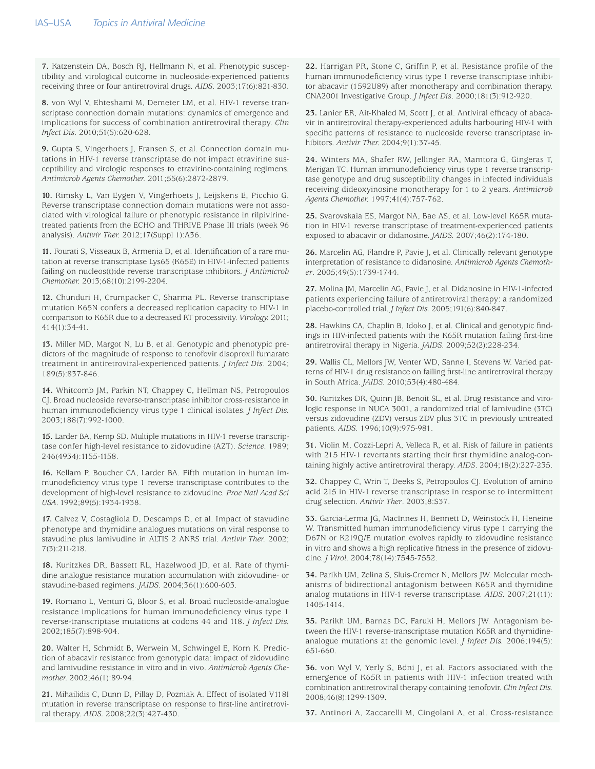**7.** Katzenstein DA, Bosch RJ, Hellmann N, et al. Phenotypic susceptibility and virological outcome in nucleoside-experienced patients receiving three or four antiretroviral drugs. *AIDS*. 2003;17(6):821-830.

**8.** von Wyl V, Ehteshami M, Demeter LM, et al. HIV-1 reverse transcriptase connection domain mutations: dynamics of emergence and implications for success of combination antiretroviral therapy. *Clin Infect Dis*. 2010;51(5):620-628.

**9.** Gupta S, Vingerhoets J, Fransen S, et al. Connection domain mutations in HIV-1 reverse transcriptase do not impact etravirine susceptibility and virologic responses to etravirine-containing regimens. *Antimicrob Agents Chemother.* 2011;55(6):2872-2879.

**10.** Rimsky L, Van Eygen V, Vingerhoets J, Leijskens E, Picchio G. Reverse transcriptase connection domain mutations were not associated with virological failure or phenotypic resistance in rilpivirinetreated patients from the ECHO and THRIVE Phase III trials (week 96 analysis). *Antivir Ther.* 2012;17(Suppl 1):A36.

**11.** Fourati S, Visseaux B, Armenia D, et al. Identification of a rare mutation at reverse transcriptase Lys65 (K65E) in HIV-1-infected patients failing on nucleos(t)ide reverse transcriptase inhibitors. *J Antimicrob Chemother.* 2013;68(10):2199-2204.

**12.** Chunduri H, Crumpacker C, Sharma PL. Reverse transcriptase mutation K65N confers a decreased replication capacity to HIV-1 in comparison to K65R due to a decreased RT processivity. *Virology.* 2011; 414(1):34-41.

**13.** Miller MD, Margot N, Lu B, et al. Genotypic and phenotypic predictors of the magnitude of response to tenofovir disoproxil fumarate treatment in antiretroviral-experienced patients. *J Infect Dis*. 2004; 189(5):837-846.

**14.** Whitcomb JM, Parkin NT, Chappey C, Hellman NS, Petropoulos CJ. Broad nucleoside reverse-transcriptase inhibitor cross-resistance in human immunodeficiency virus type 1 clinical isolates. *J Infect Dis.*  2003;188(7):992-1000.

**15.** Larder BA, Kemp SD. Multiple mutations in HIV-1 reverse transcriptase confer high-level resistance to zidovudine (AZT). *Science.* 1989; 246(4934):1155-1158.

**16.** Kellam P, Boucher CA, Larder BA. Fifth mutation in human immunodeficiency virus type 1 reverse transcriptase contributes to the development of high-level resistance to zidovudine. *Proc Natl Acad Sci USA.* 1992;89(5):1934-1938.

**17.** Calvez V, Costagliola D, Descamps D, et al. Impact of stavudine phenotype and thymidine analogues mutations on viral response to stavudine plus lamivudine in ALTIS 2 ANRS trial. *Antivir Ther.* 2002; 7(3):211-218.

**18.** Kuritzkes DR, Bassett RL, Hazelwood JD, et al. Rate of thymidine analogue resistance mutation accumulation with zidovudine- or stavudine-based regimens. *JAIDS*. 2004;36(1):600-603.

**19.** Romano L, Venturi G, Bloor S, et al. Broad nucleoside-analogue resistance implications for human immunodeficiency virus type 1 reverse-transcriptase mutations at codons 44 and 118. *J Infect Dis.* 2002;185(7):898-904.

**20.** Walter H, Schmidt B, Werwein M, Schwingel E, Korn K. Prediction of abacavir resistance from genotypic data: impact of zidovudine and lamivudine resistance in vitro and in vivo. *Antimicrob Agents Chemother.* 2002;46(1):89-94.

**21.** Mihailidis C, Dunn D, Pillay D, Pozniak A. Effect of isolated V118I mutation in reverse transcriptase on response to first-line antiretroviral therapy. *AIDS.* 2008;22(3):427-430.

**22.** Harrigan PR**,** Stone C, Griffin P, et al. Resistance profile of the human immunodeficiency virus type 1 reverse transcriptase inhibitor abacavir (1592U89) after monotherapy and combination therapy. CNA2001 Investigative Group. *J Infect Dis*. 2000;181(3):912-920.

**23.** Lanier ER, Ait-Khaled M, Scott J, et al. Antiviral efficacy of abacavir in antiretroviral therapy-experienced adults harbouring HIV-1 with specific patterns of resistance to nucleoside reverse transcriptase inhibitors. *Antivir Ther.* 2004;9(1):37-45.

**24.** Winters MA, Shafer RW, Jellinger RA, Mamtora G, Gingeras T, Merigan TC. Human immunodeficiency virus type 1 reverse transcriptase genotype and drug susceptibility changes in infected individuals receiving dideoxyinosine monotherapy for 1 to 2 years. *Antimicrob Agents Chemother.* 1997;41(4):757-762.

**25.** Svarovskaia ES, Margot NA, Bae AS, et al. Low-level K65R mutation in HIV-1 reverse transcriptase of treatment-experienced patients exposed to abacavir or didanosine. *JAIDS.* 2007;46(2):174-180.

**26.** Marcelin AG, Flandre P, Pavie J, et al. Clinically relevant genotype interpretation of resistance to didanosine. *Antimicrob Agents Chemother*. 2005;49(5):1739-1744.

**27.** Molina JM, Marcelin AG, Pavie J, et al. Didanosine in HIV-1-infected patients experiencing failure of antiretroviral therapy: a randomized placebo-controlled trial. *J Infect Dis.* 2005;191(6):840-847.

**28.** Hawkins CA, Chaplin B, Idoko J, et al. Clinical and genotypic findings in HIV-infected patients with the K65R mutation failing first-line antiretroviral therapy in Nigeria. *JAIDS.* 2009;52(2):228-234.

**29.** Wallis CL, Mellors JW, Venter WD, Sanne I, Stevens W. Varied patterns of HIV-1 drug resistance on failing first-line antiretroviral therapy in South Africa. *JAIDS.* 2010;53(4):480-484.

**30.** Kuritzkes DR, Quinn JB, Benoit SL, et al. Drug resistance and virologic response in NUCA 3001, a randomized trial of lamivudine (3TC) versus zidovudine (ZDV) versus ZDV plus 3TC in previously untreated patients. *AIDS*. 1996;10(9):975-981.

**31.** Violin M, Cozzi-Lepri A, Velleca R, et al. Risk of failure in patients with 215 HIV-1 revertants starting their first thymidine analog-containing highly active antiretroviral therapy. *AIDS*. 2004;18(2):227-235.

**32.** Chappey C, Wrin T, Deeks S, Petropoulos CJ. Evolution of amino acid 215 in HIV-1 reverse transcriptase in response to intermittent drug selection. *Antivir Ther*. 2003;8:S37.

**33.** Garcia-Lerma JG, MacInnes H, Bennett D, Weinstock H, Heneine W. Transmitted human immunodeficiency virus type 1 carrying the D67N or K219Q/E mutation evolves rapidly to zidovudine resistance in vitro and shows a high replicative fitness in the presence of zidovudine. *J Virol.* 2004;78(14):7545-7552.

**34.** Parikh UM, Zelina S, Sluis-Cremer N, Mellors JW. Molecular mechanisms of bidirectional antagonism between K65R and thymidine analog mutations in HIV-1 reverse transcriptase. *AIDS.* 2007;21(11): 1405-1414.

**35.** Parikh UM, Barnas DC, Faruki H, Mellors JW. Antagonism between the HIV-1 reverse-transcriptase mutation K65R and thymidineanalogue mutations at the genomic level. *J Infect Dis.* 2006;194(5): 651-660.

**36.** von Wyl V, Yerly S, Böni J, et al. Factors associated with the emergence of K65R in patients with HIV-1 infection treated with combination antiretroviral therapy containing tenofovir. *Clin Infect Dis.* 2008;46(8):1299-1309.

**37.** Antinori A, Zaccarelli M, Cingolani A, et al. Cross-resistance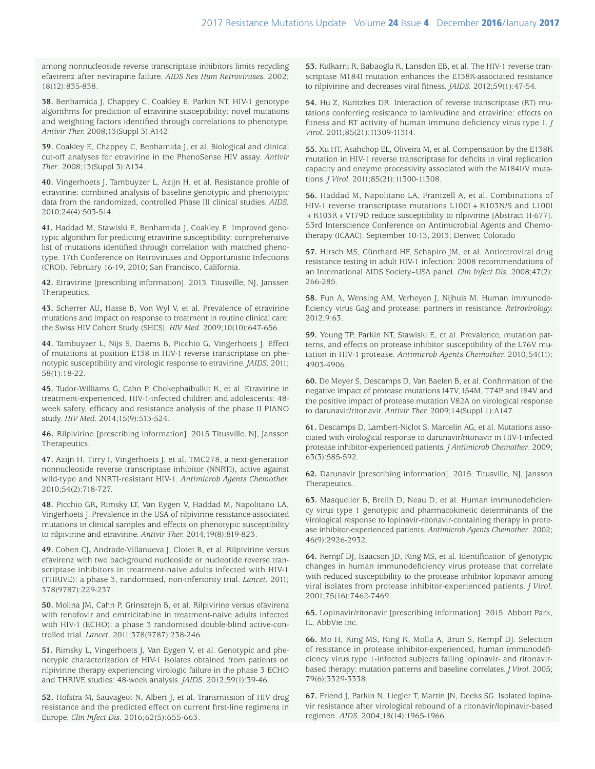among nonnucleoside reverse transcriptase inhibitors limits recycling efavirenz after nevirapine failure. *AIDS Res Hum Retroviruses.* 2002; 18(12):835-838.

**38.** Benhamida J, Chappey C, Coakley E, Parkin NT. HIV-1 genotype algorithms for prediction of etravirine susceptibility: novel mutations and weighting factors identified through correlations to phenotype. *Antivir Ther.* 2008;13(Suppl 3):A142.

**39.** Coakley E, Chappey C, Benhamida J, et al. Biological and clinical cut-off analyses for etravirine in the PhenoSense HIV assay. *Antivir Ther*. 2008;13(Suppl 3):A134.

**40.** Vingerhoets J, Tambuyzer L, Azijn H, et al. Resistance profile of etravirine: combined analysis of baseline genotypic and phenotypic data from the randomized, controlled Phase III clinical studies. *AIDS.* 2010;24(4):503-514.

**41.** Haddad M, Stawiski E, Benhamida J, Coakley E. Improved genotypic algorithm for predicting etravirine susceptibility: comprehensive list of mutations identified through correlation with matched phenotype. 17th Conference on Retroviruses and Opportunistic Infections (CROI). February 16-19, 2010; San Francisco, California.

**42.** Etravirine [prescribing information]. 2013. Titusville, NJ, Janssen Therapeutics*.*

**43.** Scherrer AU**,** Hasse B, Von Wyl V, et al. Prevalence of etravirine mutations and impact on response to treatment in routine clinical care: the Swiss HIV Cohort Study (SHCS). *HIV Med.* 2009;10(10):647-656.

**44.** Tambuyzer L, Nijs S, Daems B, Picchio G, Vingerhoets J. Effect of mutations at position E138 in HIV-1 reverse transcriptase on phenotypic susceptibility and virologic response to etravirine. *JAIDS.* 2011; 58(1):18-22.

**45.** Tudor-Williams G, Cahn P, Chokephaibulkit K, et al. Etravirine in treatment-experienced, HIV-1-infected children and adolescents: 48 week safety, efficacy and resistance analysis of the phase II PIANO study. *HIV Med*. 2014;15(9):513-524.

**46.** Rilpivirine [prescribing information]. 2015.Titusville, NJ, Janssen Therapeutics.

**47.** Azijn H, Tirry I, Vingerhoets J, et al. TMC278, a next-generation nonnucleoside reverse transcriptase inhibitor (NNRTI), active against wild-type and NNRTI-resistant HIV-1. *Antimicrob Agents Chemother.* 2010;54(2):718-727.

**48.** Picchio GR**,** Rimsky LT, Van Eygen V, Haddad M, Napolitano LA, Vingerhoets J. Prevalence in the USA of rilpivirine resistance-associated mutations in clinical samples and effects on phenotypic susceptibility to rilpivirine and etravirine. *Antivir Ther.* 2014;19(8):819-823.

**49.** Cohen CJ**,** Andrade-Villanueva J, Clotet B, et al. Rilpivirine versus efavirenz with two background nucleoside or nucleotide reverse transcriptase inhibitors in treatment-naive adults infected with HIV-1 (THRIVE): a phase 3, randomised, non-inferiority trial. *Lancet.* 2011; 378(9787):229-237.

**50.** Molina JM, Cahn P, Grinsztejn B, et al. Rilpivirine versus efavirenz with tenofovir and emtricitabine in treatment-naive adults infected with HIV-1 (ECHO): a phase 3 randomised double-blind active-controlled trial. *Lancet*. 2011;378(9787):238-246.

**51.** Rimsky L, Vingerhoets J, Van Eygen V, et al. Genotypic and phenotypic characterization of HIV-1 isolates obtained from patients on rilpivirine therapy experiencing virologic failure in the phase 3 ECHO and THRIVE studies: 48-week analysis. *JAIDS*. 2012;59(1):39-46.

**52.** Hofstra M, Sauvageot N, Albert J, et al. Transmission of HIV drug resistance and the predicted effect on current first-line regimens in Europe*. Clin Infect Dis*. 2016;62(5):655-663.

**53.** Kulkarni R, Babaoglu K, Lansdon EB, et al. The HIV-1 reverse transcriptase M184I mutation enhances the E138K-associated resistance to rilpivirine and decreases viral fitness. *JAIDS.* 2012;59(1):47-54.

**54.** Hu Z, Kuritzkes DR. Interaction of reverse transcriptase (RT) mutations conferring resistance to lamivudine and etravirine: effects on fitness and RT activity of human immuno deficiency virus type 1. *J Virol*. 2011;85(21):11309-11314.

**55.** Xu HT, Asahchop EL, Oliveira M, et al. Compensation by the E138K mutation in HIV-1 reverse transcriptase for deficits in viral replication capacity and enzyme processivity associated with the M184I/V mutations. *J Virol.* 2011;85(21):11300-11308.

**56.** Haddad M, Napolitano LA, Frantzell A, et al. Combinations of HIV-1 reverse transcriptase mutations L100I + K103N/S and L100I + K103R + V179D reduce susceptibility to rilpivirine [Abstract H-677]. 53rd Interscience Conference on Antimicrobial Agents and Chemotherapy (ICAAC). September 10-13, 2013; Denver, Colorado

**57.** Hirsch MS, Günthard HF, Schapiro JM, et al. Antiretroviral drug resistance testing in adult HIV-1 infection: 2008 recommendations of an International AIDS Society–USA panel. *Clin Infect Dis*. 2008;47(2): 266-285.

**58.** Fun A, Wensing AM, Verheyen J, Nijhuis M. Human immunodeficiency virus Gag and protease: partners in resistance. *Retrovirology.*  2012;9:63.

**59.** Young TP, Parkin NT, Stawiski E, et al. Prevalence, mutation patterns, and effects on protease inhibitor susceptibility of the L76V mutation in HIV-1 protease. *Antimicrob Agents Chemother.* 2010;54(11): 4903-4906.

**60.** De Meyer S, Descamps D, Van Baelen B, et al. Confirmation of the negative impact of protease mutations I47V, I54M, T74P and I84V and the positive impact of protease mutation V82A on virological response to darunavir/ritonavir. *Antivir Ther.* 2009;14(Suppl 1):A147.

**61.** Descamps D, Lambert-Niclot S, Marcelin AG, et al. Mutations associated with virological response to darunavir/ritonavir in HIV-1-infected protease inhibitor-experienced patients. *J Antimicrob Chemother*. 2009; 63(3):585-592.

**62.** Darunavir [prescribing information]. 2015. Titusville, NJ, Janssen Therapeutics..

**63.** Masquelier B, Breilh D, Neau D, et al. Human immunodeficiency virus type 1 genotypic and pharmacokinetic determinants of the virological response to lopinavir-ritonavir-containing therapy in protease inhibitor-experienced patients. *Antimicrob Agents Chemother*. 2002; 46(9):2926-2932.

**64.** Kempf DJ, Isaacson JD, King MS, et al. Identification of genotypic changes in human immunodeficiency virus protease that correlate with reduced susceptibility to the protease inhibitor lopinavir among viral isolates from protease inhibitor-experienced patients. *J Virol.* 2001;75(16):7462-7469.

**65.** Lopinavir/ritonavir [prescribing information]. 2015. Abbott Park, IL, AbbVie Inc.

**66.** Mo H, King MS, King K, Molla A, Brun S, Kempf DJ. Selection of resistance in protease inhibitor-experienced, human immunodeficiency virus type 1-infected subjects failing lopinavir- and ritonavirbased therapy: mutation patterns and baseline correlates. *J Virol.* 2005; 79(6):3329-3338.

**67.** Friend J, Parkin N, Liegler T, Martin JN, Deeks SG. Isolated lopinavir resistance after virological rebound of a ritonavir/lopinavir-based regimen. *AIDS.* 2004;18(14):1965-1966.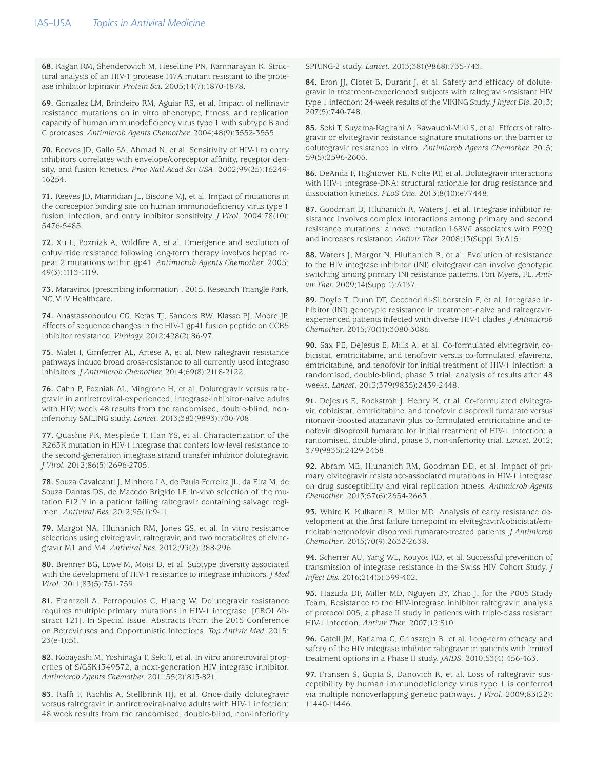**68.** Kagan RM, Shenderovich M, Heseltine PN, Ramnarayan K. Structural analysis of an HIV-1 protease I47A mutant resistant to the protease inhibitor lopinavir. *Protein Sci*. 2005;14(7):1870-1878.

**69.** Gonzalez LM, Brindeiro RM, Aguiar RS, et al. Impact of nelfinavir resistance mutations on in vitro phenotype, fitness, and replication capacity of human immunodeficiency virus type 1 with subtype B and C proteases. *Antimicrob Agents Chemother.* 2004;48(9):3552-3555.

**70.** Reeves JD, Gallo SA, Ahmad N, et al. Sensitivity of HIV-1 to entry inhibitors correlates with envelope/coreceptor affinity, receptor density, and fusion kinetics. *Proc Natl Acad Sci USA*. 2002;99(25):16249- 16254.

**71.** Reeves JD, Miamidian JL, Biscone MJ, et al. Impact of mutations in the coreceptor binding site on human immunodeficiency virus type 1 fusion, infection, and entry inhibitor sensitivity. *J Virol.* 2004;78(10): 5476-5485.

**72.** Xu L, Pozniak A, Wildfire A, et al. Emergence and evolution of enfuvirtide resistance following long-term therapy involves heptad repeat 2 mutations within gp41. *Antimicrob Agents Chemother.* 2005; 49(3):1113-1119.

**73.** Maraviroc [prescribing information]. 2015. Research Triangle Park, NC,ViiV Healthcare**.**

**74.** Anastassopoulou CG, Ketas TJ, Sanders RW, Klasse PJ, Moore JP. Effects of sequence changes in the HIV-1 gp41 fusion peptide on CCR5 inhibitor resistance. *Virology.* 2012;428(2):86-97.

**75.** Malet I, Gimferrer AL, Artese A, et al. New raltegravir resistance pathways induce broad cross-resistance to all currently used integrase inhibitors. *J Antimicrob Chemother.* 2014;69(8):2118-2122.

**76.** Cahn P, Pozniak AL, Mingrone H, et al. Dolutegravir versus raltegravir in antiretroviral-experienced, integrase-inhibitor-naive adults with HIV: week 48 results from the randomised, double-blind, noninferiority SAILING study. *Lancet*. 2013;382(9893):700-708.

**77.** Quashie PK, Mesplede T, Han YS, et al. Characterization of the R263K mutation in HIV-1 integrase that confers low-level resistance to the second-generation integrase strand transfer inhibitor dolutegravir. *J Virol.* 2012;86(5):2696-2705.

**78.** Souza Cavalcanti J, Minhoto LA, de Paula Ferreira JL, da Eira M, de Souza Dantas DS, de Macedo Brigido LF. In-vivo selection of the mutation F121Y in a patient failing raltegravir containing salvage regimen. *Antiviral Res.* 2012;95(1):9-11.

**79.** Margot NA, Hluhanich RM, Jones GS, et al. In vitro resistance selections using elvitegravir, raltegravir, and two metabolites of elvitegravir M1 and M4. *Antiviral Res.* 2012;93(2):288-296.

**80.** Brenner BG, Lowe M, Moisi D, et al. Subtype diversity associated with the development of HIV-1 resistance to integrase inhibitors. *J Med Virol*. 2011;83(5):751-759.

**81.** Frantzell A, Petropoulos C, Huang W. Dolutegravir resistance requires multiple primary mutations in HIV-1 integrase [CROI Abstract 121]. In Special Issue: Abstracts From the 2015 Conference on Retroviruses and Opportunistic Infections. *Top Antivir Med.* 2015; 23(e-1):51.

**82.** Kobayashi M, Yoshinaga T, Seki T, et al. In vitro antiretroviral properties of S/GSK1349572, a next-generation HIV integrase inhibitor. *Antimicrob Agents Chemother.* 2011;55(2):813-821.

**83.** Raffi F, Rachlis A, Stellbrink HJ, et al. Once-daily dolutegravir versus raltegravir in antiretroviral-naive adults with HIV-1 infection: 48 week results from the randomised, double-blind, non-inferiority

SPRING-2 study. *Lancet.* 2013;381(9868):735-743.

**84.** Eron JJ, Clotet B, Durant J, et al. Safety and efficacy of dolutegravir in treatment-experienced subjects with raltegravir-resistant HIV type 1 infection: 24-week results of the VIKING Study. *J Infect Dis*. 2013; 207(5):740-748.

**85.** Seki T, Suyama-Kagitani A, Kawauchi-Miki S, et al. Effects of raltegravir or elvitegravir resistance signature mutations on the barrier to dolutegravir resistance in vitro. *Antimicrob Agents Chemother.* 2015; 59(5):2596-2606.

**86.** DeAnda F, Hightower KE, Nolte RT, et al. Dolutegravir interactions with HIV-1 integrase-DNA: structural rationale for drug resistance and dissociation kinetics. *PLoS One.* 2013;8(10):e77448.

**87.** Goodman D, Hluhanich R, Waters J, et al. Integrase inhibitor resistance involves complex interactions among primary and second resistance mutations: a novel mutation L68V/I associates with E92Q and increases resistance. *Antivir Ther.* 2008;13(Suppl 3):A15.

**88.** Waters J, Margot N, Hluhanich R, et al. Evolution of resistance to the HIV integrase inhibitor (INI) elvitegravir can involve genotypic switching among primary INI resistance patterns. Fort Myers, FL. *Antivir Ther.* 2009;14(Supp 1):A137.

**89.** Doyle T, Dunn DT, Ceccherini-Silberstein F, et al. Integrase inhibitor (INI) genotypic resistance in treatment-naive and raltegravirexperienced patients infected with diverse HIV-1 clades. *J Antimicrob Chemother*. 2015;70(11):3080-3086.

**90.** Sax PE, DeJesus E, Mills A, et al. Co-formulated elvitegravir, cobicistat, emtricitabine, and tenofovir versus co-formulated efavirenz, emtricitabine, and tenofovir for initial treatment of HIV-1 infection: a randomised, double-blind, phase 3 trial, analysis of results after 48 weeks. *Lancet*. 2012;379(9835):2439-2448.

**91.** DeJesus E, Rockstroh J, Henry K, et al. Co-formulated elvitegravir, cobicistat, emtricitabine, and tenofovir disoproxil fumarate versus ritonavir-boosted atazanavir plus co-formulated emtricitabine and tenofovir disoproxil fumarate for initial treatment of HIV-1 infection: a randomised, double-blind, phase 3, non-inferiority trial. *Lancet*. 2012; 379(9835):2429-2438.

**92.** Abram ME, Hluhanich RM, Goodman DD, et al. Impact of primary elvitegravir resistance-associated mutations in HIV-1 integrase on drug susceptibility and viral replication fitness. *Antimicrob Agents Chemother*. 2013;57(6):2654-2663.

**93.** White K, Kulkarni R, Miller MD. Analysis of early resistance development at the first failure timepoint in elvitegravir/cobicistat/emtricitabine/tenofovir disoproxil fumarate-treated patients. *J Antimicrob Chemother*. 2015;70(9):2632-2638.

**94.** Scherrer AU, Yang WL, Kouyos RD, et al. Successful prevention of transmission of integrase resistance in the Swiss HIV Cohort Study. *J Infect Dis.* 2016;214(3):399-402.

**95.** Hazuda DF, Miller MD, Nguyen BY, Zhao J, for the P005 Study Team. Resistance to the HIV-integrase inhibitor raltegravir: analysis of protocol 005, a phase II study in patients with triple-class resistant HIV-1 infection. *Antivir Ther*. 2007;12:S10.

**96.** Gatell JM, Katlama C, Grinsztejn B, et al. Long-term efficacy and safety of the HIV integrase inhibitor raltegravir in patients with limited treatment options in a Phase II study. *JAIDS*. 2010;53(4):456-463.

**97.** Fransen S, Gupta S, Danovich R, et al. Loss of raltegravir susceptibility by human immunodeficiency virus type 1 is conferred via multiple nonoverlapping genetic pathways. *J Virol.* 2009;83(22): 11440-11446.